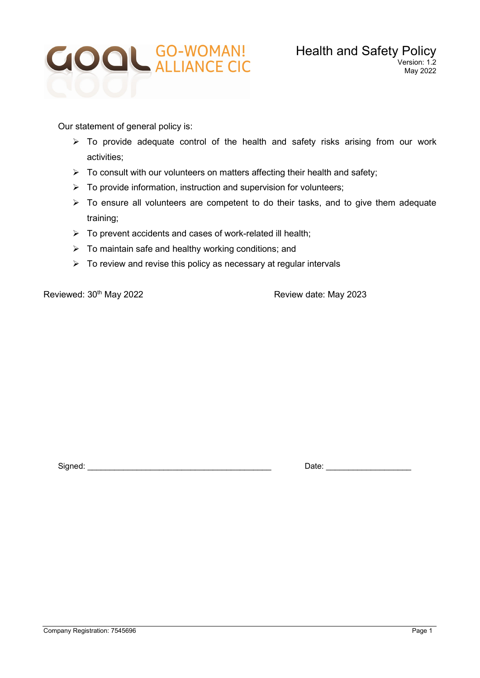

Our statement of general policy is:

- $\triangleright$  To provide adequate control of the health and safety risks arising from our work activities;
- $\triangleright$  To consult with our volunteers on matters affecting their health and safety;
- $\triangleright$  To provide information, instruction and supervision for volunteers;
- $\triangleright$  To ensure all volunteers are competent to do their tasks, and to give them adequate training;
- $\triangleright$  To prevent accidents and cases of work-related ill health;
- $\triangleright$  To maintain safe and healthy working conditions; and
- $\triangleright$  To review and revise this policy as necessary at regular intervals

Reviewed: 30<sup>th</sup> May 2022 **Review date: May 2023** 

Signed: \_\_\_\_\_\_\_\_\_\_\_\_\_\_\_\_\_\_\_\_\_\_\_\_\_\_\_\_\_\_\_\_\_\_\_\_\_\_\_\_\_ Date: \_\_\_\_\_\_\_\_\_\_\_\_\_\_\_\_\_\_\_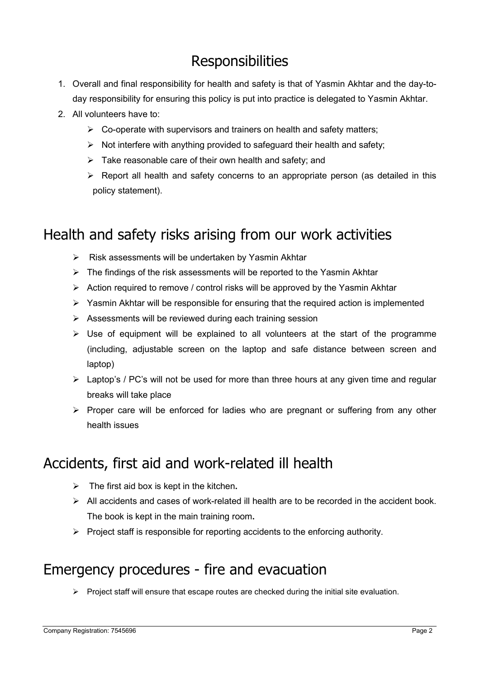# **Responsibilities**

- 1. Overall and final responsibility for health and safety is that of Yasmin Akhtar and the day-today responsibility for ensuring this policy is put into practice is delegated to Yasmin Akhtar.
- 2. All volunteers have to:
	- $\triangleright$  Co-operate with supervisors and trainers on health and safety matters;
	- $\triangleright$  Not interfere with anything provided to safeguard their health and safety;
	- $\triangleright$  Take reasonable care of their own health and safety; and
	- $\triangleright$  Report all health and safety concerns to an appropriate person (as detailed in this policy statement).

### Health and safety risks arising from our work activities

- $\triangleright$  Risk assessments will be undertaken by Yasmin Akhtar
- $\triangleright$  The findings of the risk assessments will be reported to the Yasmin Akhtar
- $\triangleright$  Action required to remove / control risks will be approved by the Yasmin Akhtar
- $\triangleright$  Yasmin Akhtar will be responsible for ensuring that the required action is implemented
- $\triangleright$  Assessments will be reviewed during each training session
- $\triangleright$  Use of equipment will be explained to all volunteers at the start of the programme (including, adjustable screen on the laptop and safe distance between screen and laptop)
- $\triangleright$  Laptop's / PC's will not be used for more than three hours at any given time and regular breaks will take place
- $\triangleright$  Proper care will be enforced for ladies who are pregnant or suffering from any other health issues

### Accidents, first aid and work-related ill health

- $\triangleright$  The first aid box is kept in the kitchen.
- $\triangleright$  All accidents and cases of work-related ill health are to be recorded in the accident book. The book is kept in the main training room.
- $\triangleright$  Project staff is responsible for reporting accidents to the enforcing authority.

### Emergency procedures - fire and evacuation

 $\triangleright$  Project staff will ensure that escape routes are checked during the initial site evaluation.